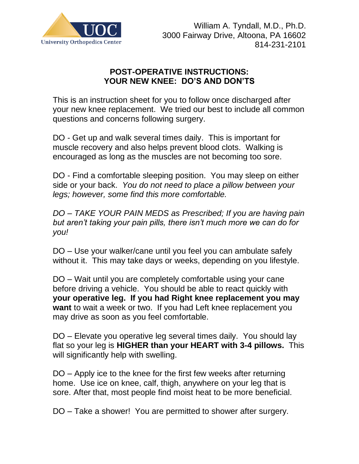

## **POST-OPERATIVE INSTRUCTIONS: YOUR NEW KNEE: DO'S AND DON'TS**

This is an instruction sheet for you to follow once discharged after your new knee replacement. We tried our best to include all common questions and concerns following surgery.

DO - Get up and walk several times daily. This is important for muscle recovery and also helps prevent blood clots. Walking is encouraged as long as the muscles are not becoming too sore.

DO - Find a comfortable sleeping position. You may sleep on either side or your back. *You do not need to place a pillow between your legs; however, some find this more comfortable.*

*DO – TAKE YOUR PAIN MEDS as Prescribed; If you are having pain but aren't taking your pain pills, there isn't much more we can do for you!*

DO – Use your walker/cane until you feel you can ambulate safely without it. This may take days or weeks, depending on you lifestyle.

DO – Wait until you are completely comfortable using your cane before driving a vehicle. You should be able to react quickly with **your operative leg. If you had Right knee replacement you may want** to wait a week or two. If you had Left knee replacement you may drive as soon as you feel comfortable.

DO – Elevate you operative leg several times daily. You should lay flat so your leg is **HIGHER than your HEART with 3-4 pillows.** This will significantly help with swelling.

DO – Apply ice to the knee for the first few weeks after returning home. Use ice on knee, calf, thigh, anywhere on your leg that is sore. After that, most people find moist heat to be more beneficial.

DO – Take a shower! You are permitted to shower after surgery.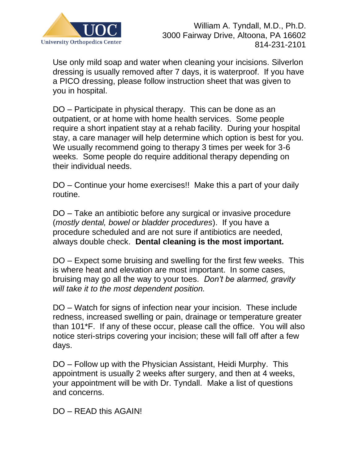

Use only mild soap and water when cleaning your incisions. Silverlon dressing is usually removed after 7 days, it is waterproof. If you have a PICO dressing, please follow instruction sheet that was given to you in hospital.

DO – Participate in physical therapy. This can be done as an outpatient, or at home with home health services. Some people require a short inpatient stay at a rehab facility. During your hospital stay, a care manager will help determine which option is best for you. We usually recommend going to therapy 3 times per week for 3-6 weeks. Some people do require additional therapy depending on their individual needs.

DO – Continue your home exercises!! Make this a part of your daily routine.

DO – Take an antibiotic before any surgical or invasive procedure (*mostly dental, bowel or bladder procedures*). If you have a procedure scheduled and are not sure if antibiotics are needed, always double check. **Dental cleaning is the most important.**

DO – Expect some bruising and swelling for the first few weeks. This is where heat and elevation are most important. In some cases, bruising may go all the way to your toes. *Don't be alarmed, gravity will take it to the most dependent position.*

DO – Watch for signs of infection near your incision. These include redness, increased swelling or pain, drainage or temperature greater than 101\*F. If any of these occur, please call the office. You will also notice steri-strips covering your incision; these will fall off after a few days.

DO – Follow up with the Physician Assistant, Heidi Murphy. This appointment is usually 2 weeks after surgery, and then at 4 weeks, your appointment will be with Dr. Tyndall. Make a list of questions and concerns.

DO – READ this AGAIN!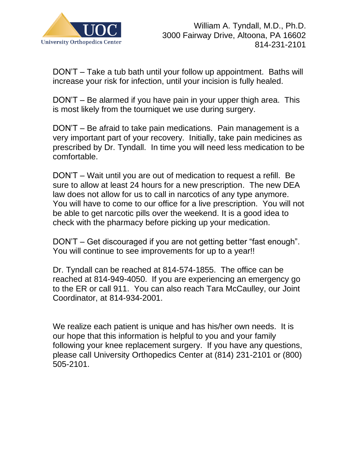

DON'T – Take a tub bath until your follow up appointment. Baths will increase your risk for infection, until your incision is fully healed.

DON'T – Be alarmed if you have pain in your upper thigh area. This is most likely from the tourniquet we use during surgery.

DON'T – Be afraid to take pain medications. Pain management is a very important part of your recovery. Initially, take pain medicines as prescribed by Dr. Tyndall. In time you will need less medication to be comfortable.

DON'T – Wait until you are out of medication to request a refill. Be sure to allow at least 24 hours for a new prescription. The new DEA law does not allow for us to call in narcotics of any type anymore. You will have to come to our office for a live prescription. You will not be able to get narcotic pills over the weekend. It is a good idea to check with the pharmacy before picking up your medication.

DON'T – Get discouraged if you are not getting better "fast enough". You will continue to see improvements for up to a year!!

Dr. Tyndall can be reached at 814-574-1855. The office can be reached at 814-949-4050. If you are experiencing an emergency go to the ER or call 911. You can also reach Tara McCaulley, our Joint Coordinator, at 814-934-2001.

We realize each patient is unique and has his/her own needs. It is our hope that this information is helpful to you and your family following your knee replacement surgery. If you have any questions, please call University Orthopedics Center at (814) 231-2101 or (800) 505-2101.